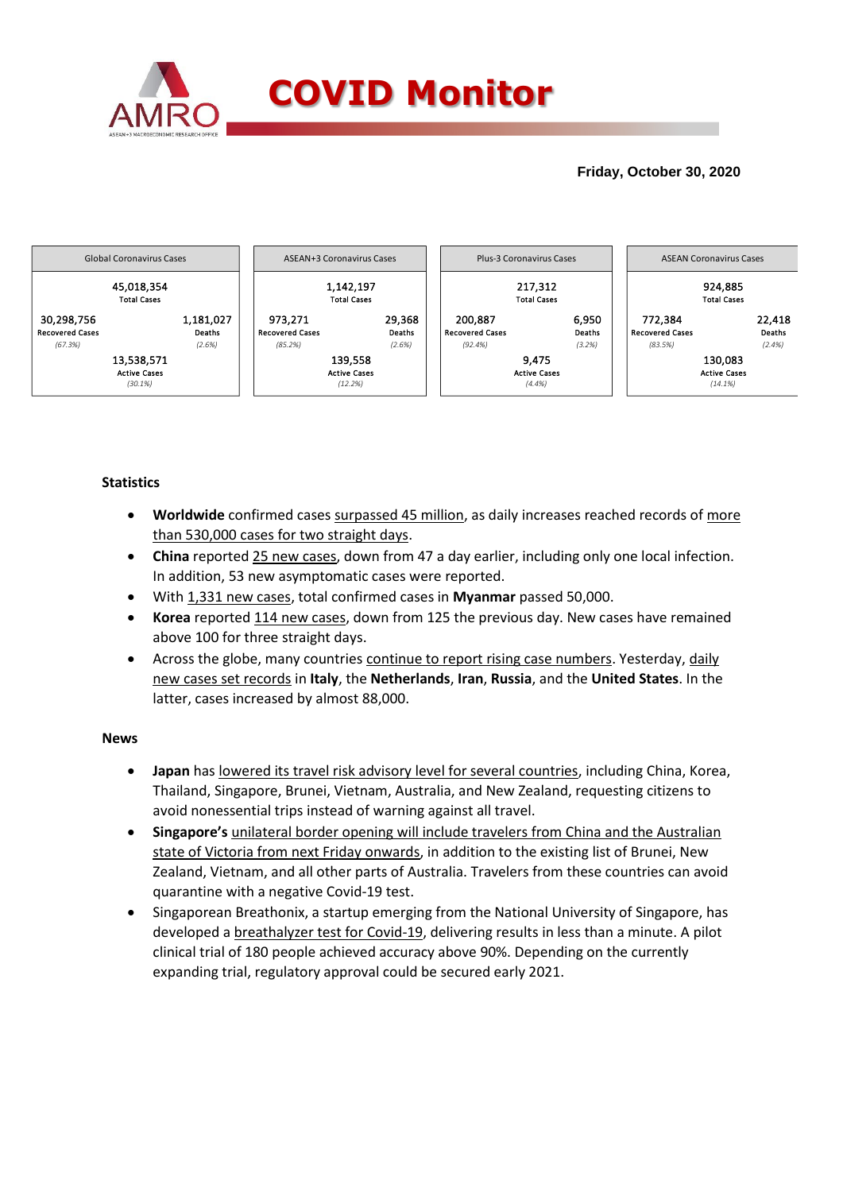

# **Friday, October 30, 2020**



## **Statistics**

- **Worldwide** confirmed cases surpassed 45 million, as daily increases reached records of more than 530,000 cases for two straight days.
- **China** reported 25 new cases, down from 47 a day earlier, including only one local infection. In addition, 53 new asymptomatic cases were reported.
- With 1,331 new cases, total confirmed cases in **Myanmar** passed 50,000.
- **Korea** reported 114 new cases, down from 125 the previous day. New cases have remained above 100 for three straight days.
- Across the globe, many countries continue to report rising case numbers. Yesterday, daily new cases set records in **Italy**, the **Netherlands**, **Iran**, **Russia**, and the **United States**. In the latter, cases increased by almost 88,000.

### **News**

- **Japan** has lowered its travel risk advisory level for several countries, including China, Korea, Thailand, Singapore, Brunei, Vietnam, Australia, and New Zealand, requesting citizens to avoid nonessential trips instead of warning against all travel.
- **Singapore's** unilateral border opening will include travelers from China and the Australian state of Victoria from next Friday onwards, in addition to the existing list of Brunei, New Zealand, Vietnam, and all other parts of Australia. Travelers from these countries can avoid quarantine with a negative Covid-19 test.
- Singaporean Breathonix, a startup emerging from the National University of Singapore, has developed a breathalyzer test for Covid-19, delivering results in less than a minute. A pilot clinical trial of 180 people achieved accuracy above 90%. Depending on the currently expanding trial, regulatory approval could be secured early 2021.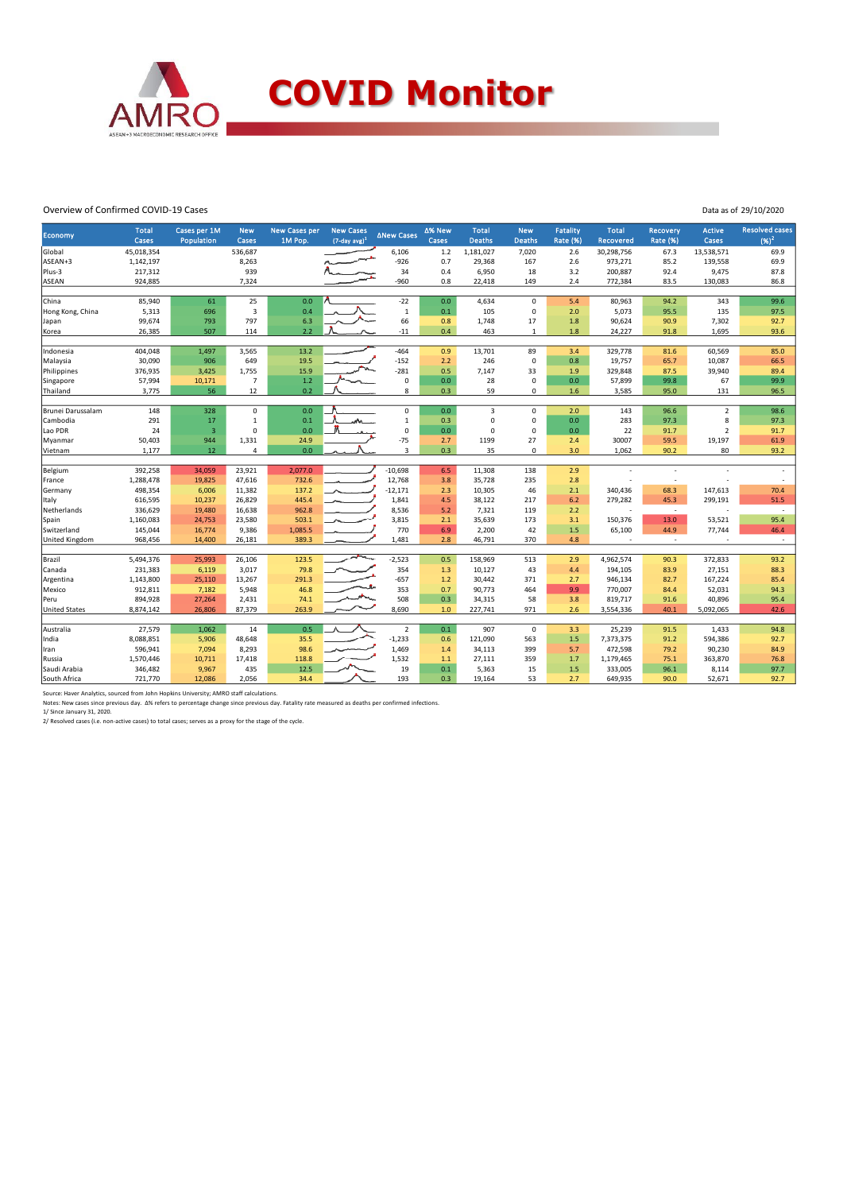

#### Overview of Confirmed COVID-19 Cases

| Data as of 29/10/2020 |
|-----------------------|
|                       |

| <b>Economy</b>         | <b>Total</b>         | Cases per 1M            | <b>New</b>              | <b>New Cases per</b> | <b>New Cases</b>    | <b>ANew Cases</b> | ∆% New     | <b>Total</b>     | <b>New</b>  | <b>Fatality</b> | <b>Total</b>             | <b>Recovery</b> | <b>Active</b>     | <b>Resolved cases</b>    |
|------------------------|----------------------|-------------------------|-------------------------|----------------------|---------------------|-------------------|------------|------------------|-------------|-----------------|--------------------------|-----------------|-------------------|--------------------------|
|                        | Cases                | Population              | Cases                   | 1M Pop.              | $(7$ -day avg $)^1$ |                   | Cases      | <b>Deaths</b>    | Deaths      | <b>Rate (%)</b> | <b>Recovered</b>         | <b>Rate (%)</b> | Cases             | $(96)^2$                 |
| Global                 | 45,018,354           |                         | 536,687                 |                      |                     | 6,106             | 1.2        | 1,181,027        | 7,020       | 2.6             | 30,298,756               | 67.3            | 13,538,571        | 69.9                     |
| ASEAN+3                | 1,142,197            |                         | 8,263                   |                      |                     | $-926$            | 0.7        | 29,368           | 167         | 2.6             | 973,271                  | 85.2            | 139,558           | 69.9                     |
| Plus-3<br><b>ASEAN</b> | 217,312<br>924,885   |                         | 939<br>7,324            |                      |                     | 34<br>$-960$      | 0.4<br>0.8 | 6,950<br>22,418  | 18<br>149   | 3.2<br>2.4      | 200,887<br>772,384       | 92.4<br>83.5    | 9,475<br>130,083  | 87.8<br>86.8             |
|                        |                      |                         |                         |                      |                     |                   |            |                  |             |                 |                          |                 |                   |                          |
| China                  | 85,940               | 61                      | 25                      | 0.0                  |                     | $-22$             | 0.0        | 4,634            | $\mathbf 0$ | 5.4             | 80,963                   | 94.2            | 343               | 99.6                     |
| Hong Kong, China       | 5,313                | 696                     | $\overline{\mathbf{3}}$ | 0.4                  |                     | $\,$ 1            | $0.1\,$    | 105              | 0           | 2.0             | 5,073                    | 95.5            | 135               | 97.5                     |
| Japan                  | 99,674               | 793                     | 797                     | 6.3                  |                     | 66                | 0.8        | 1,748            | 17          | 1.8             | 90,624                   | 90.9            | 7,302             | 92.7                     |
| Korea                  | 26,385               | 507                     | 114                     | 2.2                  |                     | $-11$             | 0.4        | 463              | 1           | 1.8             | 24,227                   | 91.8            | 1,695             | 93.6                     |
|                        |                      |                         |                         |                      |                     |                   |            |                  |             |                 |                          |                 |                   |                          |
| Indonesia              | 404,048              | 1,497                   | 3,565                   | 13.2                 |                     | $-464$            | 0.9        | 13,701           | 89          | 3.4             | 329,778                  | 81.6            | 60,569            | 85.0                     |
| Malaysia               | 30,090               | 906                     | 649                     | 19.5                 |                     | $-152$            | 2.2        | 246              | $\mathsf 0$ | 0.8             | 19,757                   | 65.7            | 10,087            | 66.5                     |
| Philippines            | 376,935              | 3,425                   | 1,755                   | 15.9                 |                     | $-281$            | 0.5        | 7,147            | 33          | 1.9             | 329,848                  | 87.5            | 39,940            | 89.4                     |
| Singapore              | 57,994               | 10,171                  | $\overline{7}$          | 1.2                  |                     | $\pmb{0}$         | 0.0        | 28               | $\mathbf 0$ | 0.0             | 57,899                   | 99.8            | 67                | 99.9                     |
| Thailand               | 3,775                | 56                      | 12                      | 0.2                  |                     | 8                 | 0.3        | 59               | 0           | 1.6             | 3,585                    | 95.0            | 131               | 96.5                     |
| Brunei Darussalam      | 148                  | 328                     | 0                       | 0.0                  |                     | 0                 | 0.0        | 3                | $\mathbf 0$ | 2.0             | 143                      | 96.6            | $\overline{2}$    | 98.6                     |
| Cambodia               | 291                  | 17                      | $\mathbf{1}$            | 0.1                  |                     | $\mathbf 1$       | 0.3        | $\mathbf 0$      | 0           | 0.0             | 283                      | 97.3            | 8                 | 97.3                     |
| Lao PDR                | 24                   | $\overline{\mathbf{3}}$ | $\Omega$                | 0.0                  |                     | $\mathbf 0$       | 0.0        | $\mathbf 0$      | 0           | 0.0             | 22                       | 91.7            | $\overline{2}$    | 91.7                     |
| Myanmar                | 50,403               | 944                     | 1,331                   | 24.9                 |                     | $-75$             | 2.7        | 1199             | 27          | 2.4             | 30007                    | 59.5            | 19,197            | 61.9                     |
| Vietnam                | 1,177                | 12                      | 4                       | 0.0                  |                     | 3                 | 0.3        | 35               | 0           | 3.0             | 1,062                    | 90.2            | 80                | 93.2                     |
|                        |                      |                         |                         |                      |                     |                   |            |                  |             |                 |                          |                 |                   |                          |
| Belgium                | 392,258              | 34,059                  | 23,921                  | 2,077.0              |                     | $-10,698$         | 6.5        | 11,308           | 138         | 2.9             |                          | ÷               |                   | $\overline{\phantom{a}}$ |
| France                 | 1,288,478            | 19,825                  | 47,616                  | 732.6                |                     | 12,768            | 3.8        | 35,728           | 235         | 2.8             |                          | ÷,              |                   | ÷                        |
| Germany                | 498,354              | 6,006                   | 11,382                  | 137.2                |                     | $-12,171$         | 2.3        | 10,305           | 46          | 2.1             | 340,436                  | 68.3            | 147,613           | 70.4                     |
| Italy                  | 616,595              | 10,237                  | 26,829                  | 445.4                |                     | 1,841             | 4.5        | 38,122           | 217         | 6.2             | 279,282                  | 45.3            | 299,191           | 51.5                     |
| Netherlands            | 336,629              | 19,480                  | 16,638                  | 962.8                |                     | 8,536             | 5.2        | 7,321            | 119         | 2.2             | J.                       | $\sim$          |                   | $\sim$                   |
| Spain                  | 1,160,083            | 24,753                  | 23,580                  | 503.1                |                     | 3,815             | 2.1        | 35,639           | 173         | 3.1             | 150,376                  | 13.0            | 53,521            | 95.4                     |
| Switzerland            | 145,044              | 16,774                  | 9,386                   | 1,085.5              |                     | 770               | 6.9        | 2,200            | 42          | 1.5             | 65,100                   | 44.9            | 77,744            | 46.4                     |
| United Kingdom         | 968,456              | 14,400                  | 26,181                  | 389.3                |                     | 1,481             | 2.8        | 46,791           | 370         | 4.8             | $\overline{\phantom{a}}$ | $\sim$          |                   | $\sim$                   |
|                        |                      |                         |                         |                      |                     | $-2,523$          |            |                  |             |                 |                          |                 |                   |                          |
| Brazil                 | 5,494,376            | 25,993                  | 26,106                  | 123.5                |                     | 354               | 0.5        | 158,969          | 513         | 2.9             | 4,962,574                | 90.3            | 372,833           | 93.2                     |
| Canada                 | 231,383              | 6,119                   | 3,017                   | 79.8                 |                     | $-657$            | 1.3        | 10,127           | 43          | 4.4             | 194,105                  | 83.9            | 27,151<br>167,224 | 88.3<br>85.4             |
| Argentina              | 1,143,800<br>912,811 | 25,110                  | 13,267<br>5,948         | 291.3<br>46.8        |                     | 353               | 1.2<br>0.7 | 30,442<br>90,773 | 371<br>464  | 2.7<br>9.9      | 946,134<br>770,007       | 82.7            | 52,031            | 94.3                     |
| Mexico<br>Peru         | 894,928              | 7,182<br>27,264         | 2,431                   | 74.1                 |                     | 508               | 0.3        | 34,315           | 58          | 3.8             | 819,717                  | 84.4<br>91.6    | 40,896            | 95.4                     |
| <b>United States</b>   | 8,874,142            | 26,806                  | 87,379                  | 263.9                |                     | 8,690             | 1.0        | 227,741          | 971         | 2.6             | 3,554,336                | 40.1            | 5,092,065         | 42.6                     |
|                        |                      |                         |                         |                      |                     |                   |            |                  |             |                 |                          |                 |                   |                          |
| Australia              | 27,579               | 1,062                   | 14                      | 0.5                  |                     | $\overline{2}$    | 0.1        | 907              | $\mathbf 0$ | 3.3             | 25,239                   | 91.5            | 1,433             | 94.8                     |
| India                  | 8,088,851            | 5,906                   | 48,648                  | 35.5                 |                     | $-1,233$          | 0.6        | 121,090          | 563         | 1.5             | 7,373,375                | 91.2            | 594,386           | 92.7                     |
| Iran                   | 596,941              | 7,094                   | 8,293                   | 98.6                 |                     | 1,469             | 1.4        | 34,113           | 399         | 5.7             | 472,598                  | 79.2            | 90,230            | 84.9                     |
| Russia                 | 1,570,446            | 10,711                  | 17,418                  | 118.8                |                     | 1,532             | 1.1        | 27,111           | 359         | 1.7             | 1,179,465                | 75.1            | 363,870           | 76.8                     |
| Saudi Arabia           | 346,482              | 9,967                   | 435                     | 12.5                 |                     | 19                | 0.1        | 5,363            | 15          | 1.5             | 333,005                  | 96.1            | 8,114             | 97.7                     |
| South Africa           | 721,770              | 12,086                  | 2,056                   | 34.4                 |                     | 193               | 0.3        | 19,164           | 53          | 2.7             | 649,935                  | 90.0            | 52,671            | 92.7                     |

Source: Haver Analytics, sourced from John Hopkins University; AMRO staff calculations.<br>Notes: New cases since previous day. Δ% refers to percentage change since previous day. Fatality rate measured as deaths per confirme